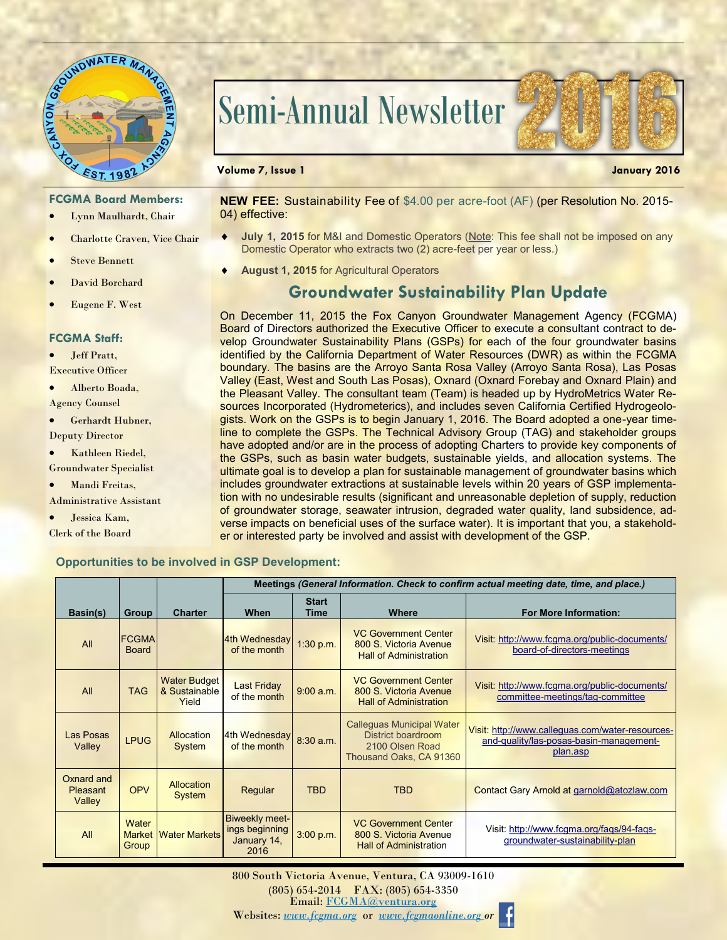

# Semi-Annual Newsletter



### **FCGMA Board Members:**

- Lynn Maulhardt, Chair
- Charlotte Craven, Vice Chair
- Steve Bennett
- David Borchard
- Eugene F. West

#### **FCGMA Staff:**

- Jeff Pratt,
- Executive Officer
- Alberto Boada,
- Agency Counsel
- Gerhardt Hubner, Deputy Director
- Kathleen Riedel, Groundwater Specialist
- Mandi Freitas,
- Administrative Assistant
- Jessica Kam, Clerk of the Board

#### **NEW FEE:** Sustainability Fee of \$4.00 per acre-foot (AF) (per Resolution No. 2015- 04) effective:

- **July 1, 2015** for M&I and Domestic Operators (Note: This fee shall not be imposed on any Domestic Operator who extracts two (2) acre-feet per year or less.)
- **August 1, 2015** for Agricultural Operators

## **Groundwater Sustainability Plan Update**

On December 11, 2015 the Fox Canyon Groundwater Management Agency (FCGMA) Board of Directors authorized the Executive Officer to execute a consultant contract to develop Groundwater Sustainability Plans (GSPs) for each of the four groundwater basins identified by the California Department of Water Resources (DWR) as within the FCGMA boundary. The basins are the Arroyo Santa Rosa Valley (Arroyo Santa Rosa), Las Posas Valley (East, West and South Las Posas), Oxnard (Oxnard Forebay and Oxnard Plain) and the Pleasant Valley. The consultant team (Team) is headed up by HydroMetrics Water Resources Incorporated (Hydrometerics), and includes seven California Certified Hydrogeologists. Work on the GSPs is to begin January 1, 2016. The Board adopted a one-year timeline to complete the GSPs. The Technical Advisory Group (TAG) and stakeholder groups have adopted and/or are in the process of adopting Charters to provide key components of the GSPs, such as basin water budgets, sustainable yields, and allocation systems. The ultimate goal is to develop a plan for sustainable management of groundwater basins which includes groundwater extractions at sustainable levels within 20 years of GSP implementation with no undesirable results (significant and unreasonable depletion of supply, reduction of groundwater storage, seawater intrusion, degraded water quality, land subsidence, adverse impacts on beneficial uses of the surface water). It is important that you, a stakeholder or interested party be involved and assist with development of the GSP.

#### **Opportunities to be involved in GSP Development:**

|                                         |                                 |                                               | Meetings (General Information. Check to confirm actual meeting date, time, and place.) |                      |                                                                                                             |                                                                                                         |  |  |  |  |
|-----------------------------------------|---------------------------------|-----------------------------------------------|----------------------------------------------------------------------------------------|----------------------|-------------------------------------------------------------------------------------------------------------|---------------------------------------------------------------------------------------------------------|--|--|--|--|
| Basin(s)                                | <b>Group</b>                    | <b>Charter</b>                                | When                                                                                   | <b>Start</b><br>Time | <b>Where</b>                                                                                                | <b>For More Information:</b>                                                                            |  |  |  |  |
| All                                     | <b>FCGMA</b><br><b>Board</b>    |                                               | 4th Wednesday<br>of the month                                                          | 1:30 p.m.            | <b>VC Government Center</b><br>800 S. Victoria Avenue<br><b>Hall of Administration</b>                      | Visit: http://www.fcgma.org/public-documents/<br>board-of-directors-meetings                            |  |  |  |  |
| All                                     | <b>TAG</b>                      | <b>Water Budget</b><br>& Sustainable<br>Yield | <b>Last Friday</b><br>of the month                                                     | 9:00 a.m.            | <b>VC Government Center</b><br>800 S. Victoria Avenue<br><b>Hall of Administration</b>                      | Visit: http://www.fcgma.org/public-documents/<br>committee-meetings/tag-committee                       |  |  |  |  |
| Las Posas<br>Valley                     | <b>LPUG</b>                     | Allocation<br>System                          | 4th Wednesday<br>of the month                                                          | 8:30 a.m.            | <b>Calleguas Municipal Water</b><br><b>District boardroom</b><br>2100 Olsen Road<br>Thousand Oaks, CA 91360 | Visit: http://www.calleguas.com/water-resources-<br>and-quality/las-posas-basin-management-<br>plan.asp |  |  |  |  |
| Oxnard and<br><b>Pleasant</b><br>Valley | <b>OPV</b>                      | <b>Allocation</b><br>System                   | Regular                                                                                | <b>TBD</b>           | <b>TBD</b>                                                                                                  | Contact Gary Arnold at garnold@atozlaw.com                                                              |  |  |  |  |
| All                                     | Water<br><b>Market</b><br>Group | <b>Water Markets</b>                          | Biweekly meet-<br>ings beginning<br>January 14,<br>2016                                | 3:00 p.m.            | <b>VC Government Center</b><br>800 S. Victoria Avenue<br><b>Hall of Administration</b>                      | Visit: http://www.fcgma.org/fags/94-fags-<br>groundwater-sustainability-plan                            |  |  |  |  |